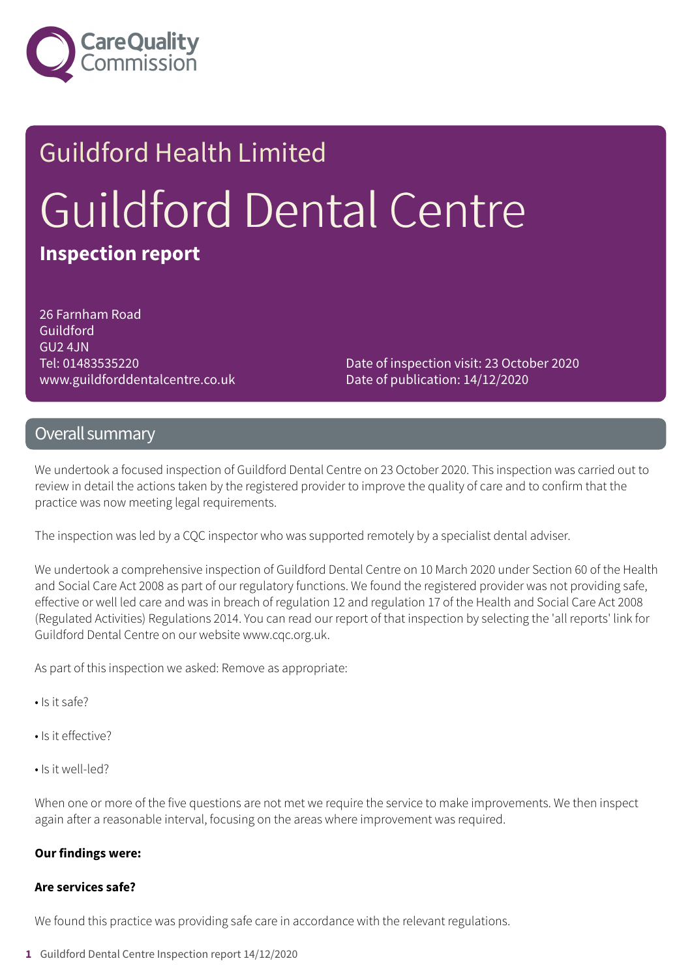

# Guildford Health Limited Guildford Dental Centre **Inspection report**

26 Farnham Road Guildford GU2 4JN Tel: 01483535220 www.guildforddentalcentre.co.uk

Date of inspection visit: 23 October 2020 Date of publication: 14/12/2020

#### Overall summary

We undertook a focused inspection of Guildford Dental Centre on 23 October 2020. This inspection was carried out to review in detail the actions taken by the registered provider to improve the quality of care and to confirm that the practice was now meeting legal requirements.

The inspection was led by a CQC inspector who was supported remotely by a specialist dental adviser.

We undertook a comprehensive inspection of Guildford Dental Centre on 10 March 2020 under Section 60 of the Health and Social Care Act 2008 as part of our regulatory functions. We found the registered provider was not providing safe, effective or well led care and was in breach of regulation 12 and regulation 17 of the Health and Social Care Act 2008 (Regulated Activities) Regulations 2014. You can read our report of that inspection by selecting the 'all reports' link for Guildford Dental Centre on our website www.cqc.org.uk.

As part of this inspection we asked: Remove as appropriate:

- Is it safe?
- Is it effective?
- Is it well-led?

When one or more of the five questions are not met we require the service to make improvements. We then inspect again after a reasonable interval, focusing on the areas where improvement was required.

#### **Our findings were:**

#### **Are services safe?**

We found this practice was providing safe care in accordance with the relevant regulations.

**1** Guildford Dental Centre Inspection report 14/12/2020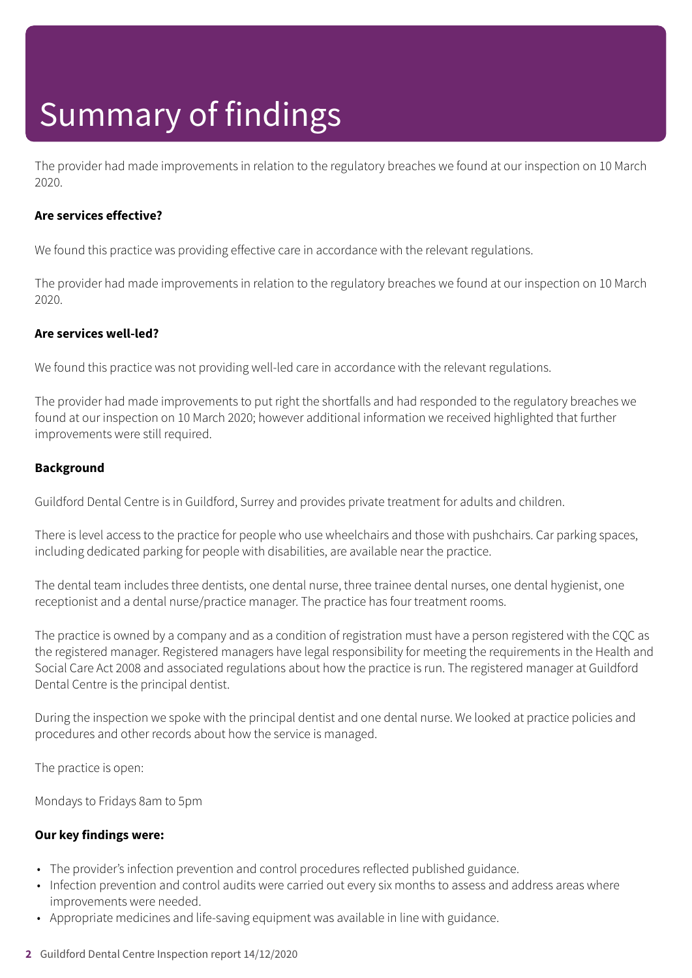## Summary of findings

The provider had made improvements in relation to the regulatory breaches we found at our inspection on 10 March 2020.

#### **Are services effective?**

We found this practice was providing effective care in accordance with the relevant regulations.

The provider had made improvements in relation to the regulatory breaches we found at our inspection on 10 March 2020.

#### **Are services well-led?**

We found this practice was not providing well-led care in accordance with the relevant regulations.

The provider had made improvements to put right the shortfalls and had responded to the regulatory breaches we found at our inspection on 10 March 2020; however additional information we received highlighted that further improvements were still required.

#### **Background**

Guildford Dental Centre is in Guildford, Surrey and provides private treatment for adults and children.

There is level access to the practice for people who use wheelchairs and those with pushchairs. Car parking spaces, including dedicated parking for people with disabilities, are available near the practice.

The dental team includes three dentists, one dental nurse, three trainee dental nurses, one dental hygienist, one receptionist and a dental nurse/practice manager. The practice has four treatment rooms.

The practice is owned by a company and as a condition of registration must have a person registered with the CQC as the registered manager. Registered managers have legal responsibility for meeting the requirements in the Health and Social Care Act 2008 and associated regulations about how the practice is run. The registered manager at Guildford Dental Centre is the principal dentist.

During the inspection we spoke with the principal dentist and one dental nurse. We looked at practice policies and procedures and other records about how the service is managed.

The practice is open:

Mondays to Fridays 8am to 5pm

#### **Our key findings were:**

- The provider's infection prevention and control procedures reflected published guidance.
- Infection prevention and control audits were carried out every six months to assess and address areas where improvements were needed.
- Appropriate medicines and life-saving equipment was available in line with guidance.
- **2** Guildford Dental Centre Inspection report 14/12/2020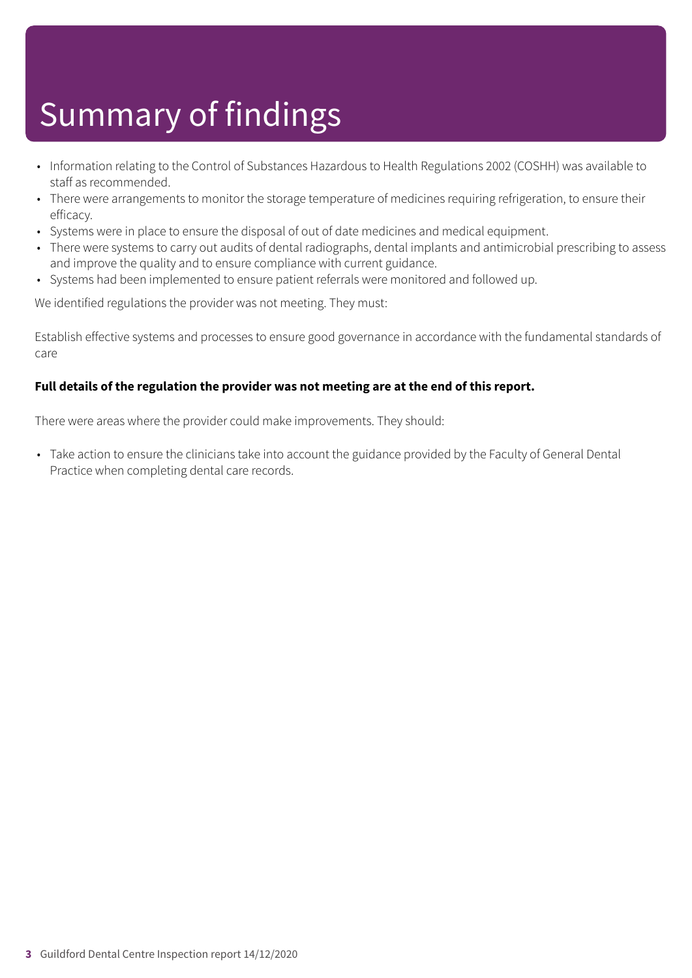## Summary of findings

- Information relating to the Control of Substances Hazardous to Health Regulations 2002 (COSHH) was available to staff as recommended.
- There were arrangements to monitor the storage temperature of medicines requiring refrigeration, to ensure their efficacy.
- Systems were in place to ensure the disposal of out of date medicines and medical equipment.
- There were systems to carry out audits of dental radiographs, dental implants and antimicrobial prescribing to assess and improve the quality and to ensure compliance with current guidance.
- Systems had been implemented to ensure patient referrals were monitored and followed up.

We identified regulations the provider was not meeting. They must:

Establish effective systems and processes to ensure good governance in accordance with the fundamental standards of care

#### **Full details of the regulation the provider was not meeting are at the end of this report.**

There were areas where the provider could make improvements. They should:

• Take action to ensure the clinicians take into account the guidance provided by the Faculty of General Dental Practice when completing dental care records.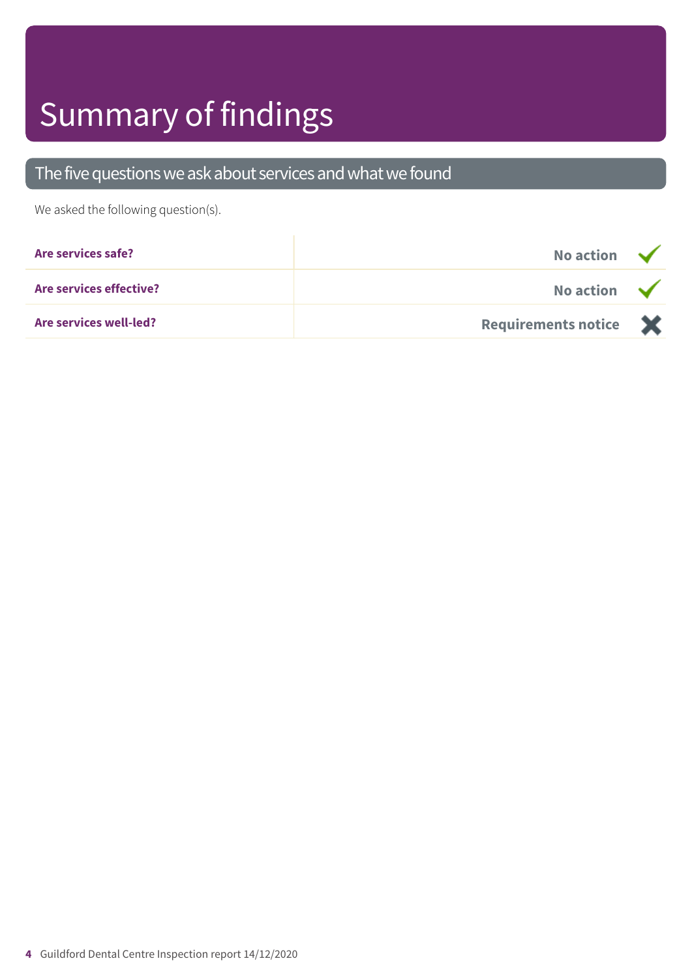## Summary of findings

### The five questions we ask about services and what we found

We asked the following question(s).

| Are services safe?             | No action $\sqrt{}$   |  |
|--------------------------------|-----------------------|--|
| <b>Are services effective?</b> | No action $\sqrt{}$   |  |
| <b>Are services well-led?</b>  | Requirements notice X |  |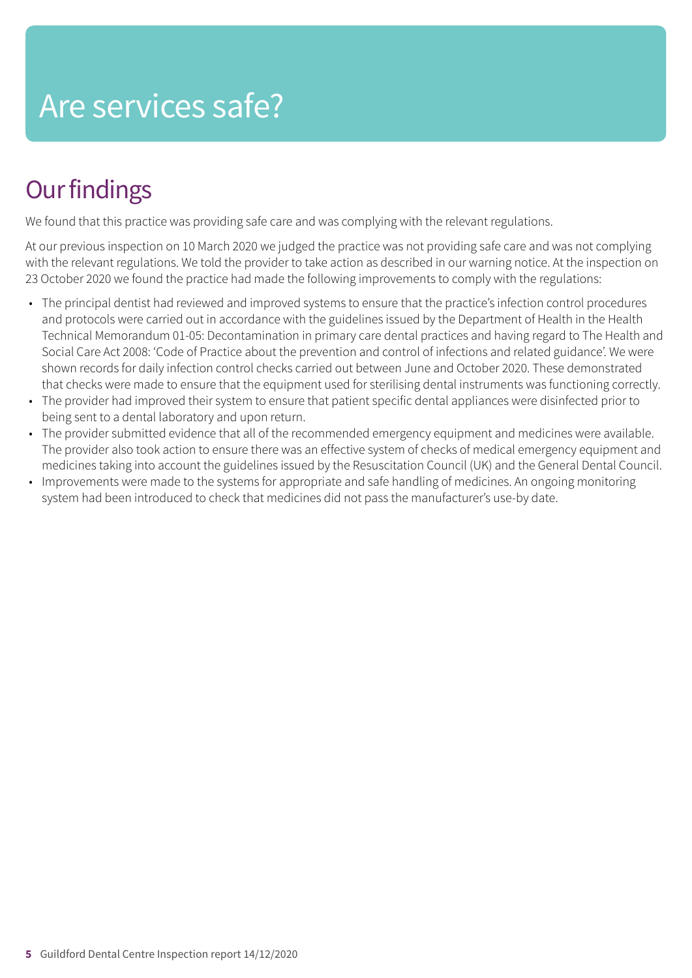### Are services safe?

### **Our findings**

We found that this practice was providing safe care and was complying with the relevant regulations.

At our previous inspection on 10 March 2020 we judged the practice was not providing safe care and was not complying with the relevant regulations. We told the provider to take action as described in our warning notice. At the inspection on 23 October 2020 we found the practice had made the following improvements to comply with the regulations:

- The principal dentist had reviewed and improved systems to ensure that the practice's infection control procedures and protocols were carried out in accordance with the guidelines issued by the Department of Health in the Health Technical Memorandum 01-05: Decontamination in primary care dental practices and having regard to The Health and Social Care Act 2008: 'Code of Practice about the prevention and control of infections and related guidance'. We were shown records for daily infection control checks carried out between June and October 2020. These demonstrated that checks were made to ensure that the equipment used for sterilising dental instruments was functioning correctly.
- The provider had improved their system to ensure that patient specific dental appliances were disinfected prior to being sent to a dental laboratory and upon return.
- The provider submitted evidence that all of the recommended emergency equipment and medicines were available. The provider also took action to ensure there was an effective system of checks of medical emergency equipment and medicines taking into account the guidelines issued by the Resuscitation Council (UK) and the General Dental Council.
- Improvements were made to the systems for appropriate and safe handling of medicines. An ongoing monitoring system had been introduced to check that medicines did not pass the manufacturer's use-by date.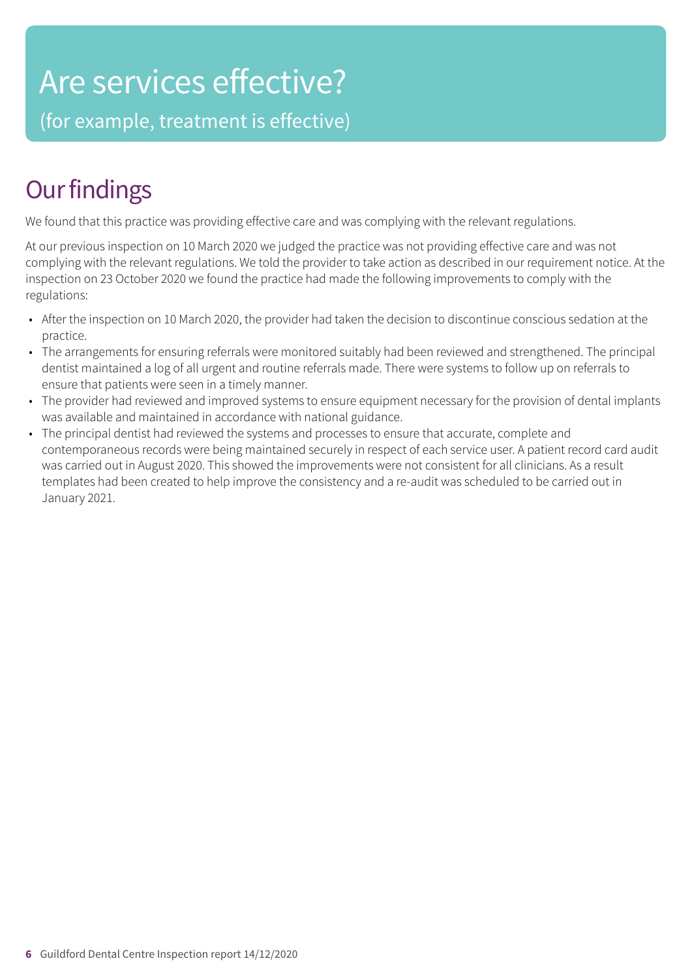### Are services effective?

(for example, treatment is effective)

### **Our findings**

We found that this practice was providing effective care and was complying with the relevant regulations.

At our previous inspection on 10 March 2020 we judged the practice was not providing effective care and was not complying with the relevant regulations. We told the provider to take action as described in our requirement notice. At the inspection on 23 October 2020 we found the practice had made the following improvements to comply with the regulations:

- After the inspection on 10 March 2020, the provider had taken the decision to discontinue conscious sedation at the practice.
- The arrangements for ensuring referrals were monitored suitably had been reviewed and strengthened. The principal dentist maintained a log of all urgent and routine referrals made. There were systems to follow up on referrals to ensure that patients were seen in a timely manner.
- The provider had reviewed and improved systems to ensure equipment necessary for the provision of dental implants was available and maintained in accordance with national guidance.
- The principal dentist had reviewed the systems and processes to ensure that accurate, complete and contemporaneous records were being maintained securely in respect of each service user. A patient record card audit was carried out in August 2020. This showed the improvements were not consistent for all clinicians. As a result templates had been created to help improve the consistency and a re-audit was scheduled to be carried out in January 2021.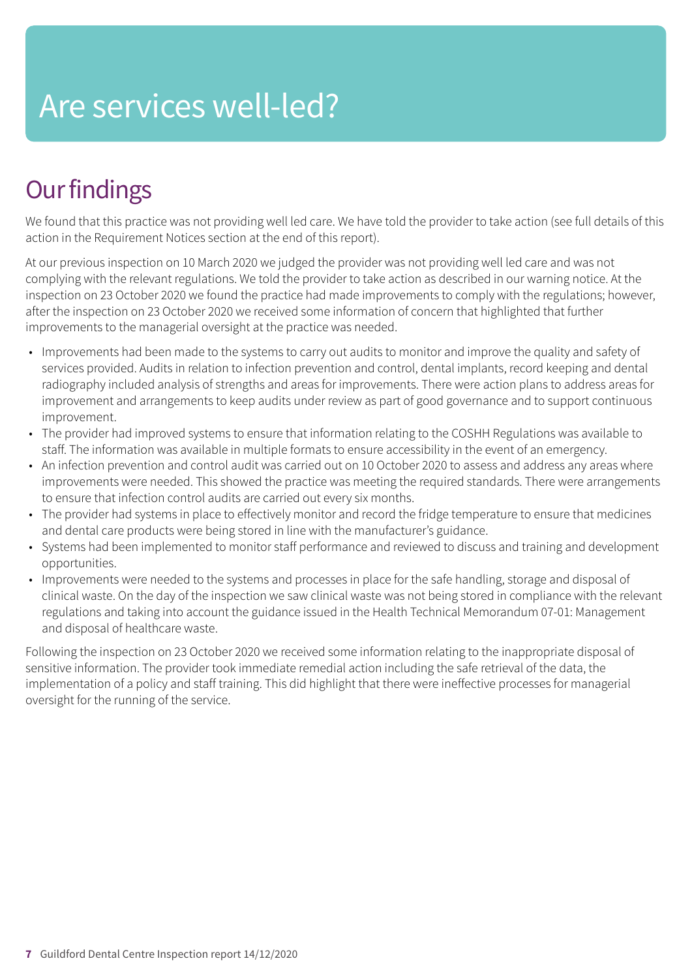## Are services well-led?

### **Our findings**

We found that this practice was not providing well led care. We have told the provider to take action (see full details of this action in the Requirement Notices section at the end of this report).

At our previous inspection on 10 March 2020 we judged the provider was not providing well led care and was not complying with the relevant regulations. We told the provider to take action as described in our warning notice. At the inspection on 23 October 2020 we found the practice had made improvements to comply with the regulations; however, after the inspection on 23 October 2020 we received some information of concern that highlighted that further improvements to the managerial oversight at the practice was needed.

- Improvements had been made to the systems to carry out audits to monitor and improve the quality and safety of services provided. Audits in relation to infection prevention and control, dental implants, record keeping and dental radiography included analysis of strengths and areas for improvements. There were action plans to address areas for improvement and arrangements to keep audits under review as part of good governance and to support continuous improvement.
- The provider had improved systems to ensure that information relating to the COSHH Regulations was available to staff. The information was available in multiple formats to ensure accessibility in the event of an emergency.
- An infection prevention and control audit was carried out on 10 October 2020 to assess and address any areas where improvements were needed. This showed the practice was meeting the required standards. There were arrangements to ensure that infection control audits are carried out every six months.
- The provider had systems in place to effectively monitor and record the fridge temperature to ensure that medicines and dental care products were being stored in line with the manufacturer's guidance.
- Systems had been implemented to monitor staff performance and reviewed to discuss and training and development opportunities.
- Improvements were needed to the systems and processes in place for the safe handling, storage and disposal of clinical waste. On the day of the inspection we saw clinical waste was not being stored in compliance with the relevant regulations and taking into account the guidance issued in the Health Technical Memorandum 07-01: Management and disposal of healthcare waste.

Following the inspection on 23 October 2020 we received some information relating to the inappropriate disposal of sensitive information. The provider took immediate remedial action including the safe retrieval of the data, the implementation of a policy and staff training. This did highlight that there were ineffective processes for managerial oversight for the running of the service.